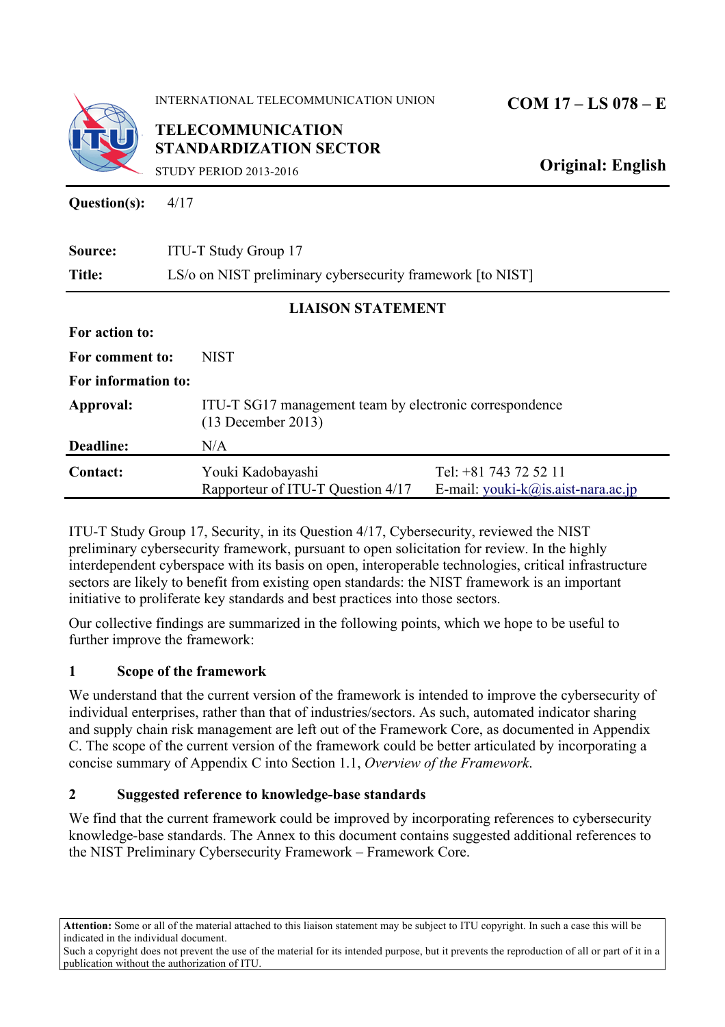

**INTERNATIONAL TELECOMMUNICATION UNION** 

**TELECOMMUNICATION STANDARDIZATION SECTOR** 

**Original: English** 

 $\overline{\phantom{a}}$ 

STUDY PERIOD 2013-2016

**Question(s):** 4/17

| Source:                  | <b>ITU-T Study Group 17</b>                                                                                                            |  |  |
|--------------------------|----------------------------------------------------------------------------------------------------------------------------------------|--|--|
| Title:                   | LS/o on NIST preliminary cybersecurity framework [to NIST]                                                                             |  |  |
| <b>LIAISON STATEMENT</b> |                                                                                                                                        |  |  |
| For action to:           |                                                                                                                                        |  |  |
| For comment to:          | <b>NIST</b>                                                                                                                            |  |  |
| For information to:      |                                                                                                                                        |  |  |
| Approval:                | ITU-T SG17 management team by electronic correspondence<br>$(13$ December 2013)                                                        |  |  |
| Deadline:                | N/A                                                                                                                                    |  |  |
| <b>Contact:</b>          | Tel: +81 743 72 52 11<br>Youki Kadobayashi<br>Rapporteur of ITU-T Question 4/17<br>E-mail: youki- $k(\hat{\omega})$ is.aist-nara.ac.jp |  |  |

 ITU-T Study Group 17, Security, in its Question 4/17, Cybersecurity, reviewed the NIST preliminary cybersecurity framework, pursuant to open solicitation for review. In the highly interdependent cyberspace with its basis on open, interoperable technologies, critical infrastructure sectors are likely to benefit from existing open standards: the NIST framework is an important initiative to proliferate key standards and best practices into those sectors.

Our collective findings are summarized in the following points, which we hope to be useful to further improve the framework:

# **1 Scope of the framework**

 We understand that the current version of the framework is intended to improve the cybersecurity of individual enterprises, rather than that of industries/sectors. As such, automated indicator sharing and supply chain risk management are left out of the Framework Core, as documented in Appendix C. The scope of the current version of the framework could be better articulated by incorporating a concise summary of Appendix C into Section 1.1, *Overview of the Framework*.

# **2 Suggested reference to knowledge-base standards**

 knowledge-base standards. The Annex to this document contains suggested additional references to We find that the current framework could be improved by incorporating references to cybersecurity the NIST Preliminary Cybersecurity Framework – Framework Core.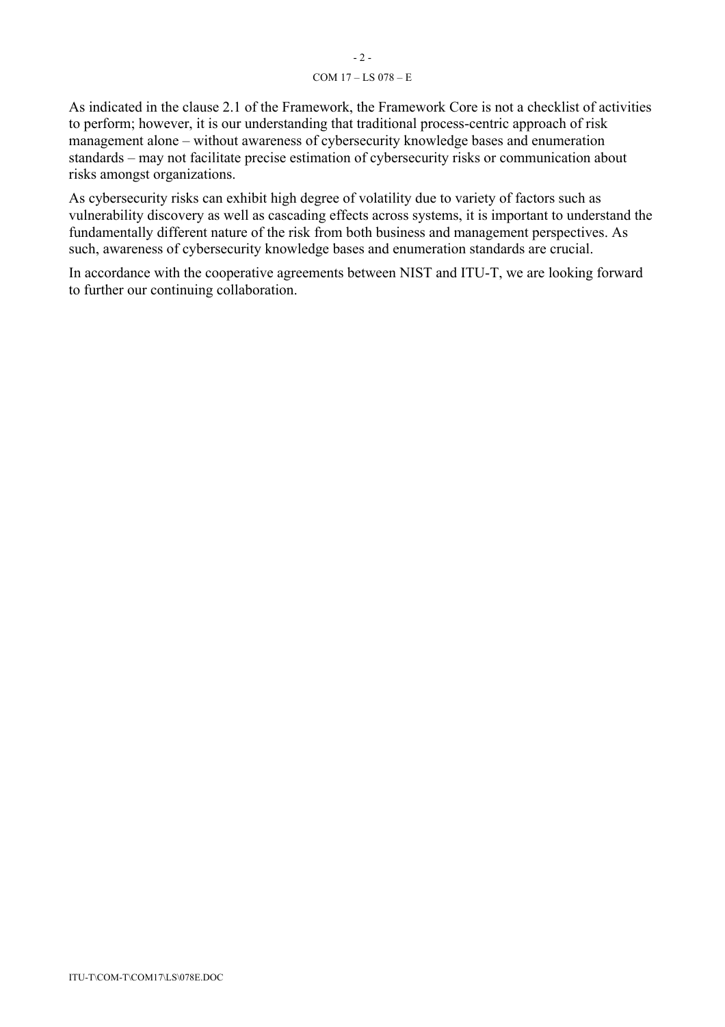#### COM 17 – LS 078 – E

 management alone – without awareness of cybersecurity knowledge bases and enumeration standards – may not facilitate precise estimation of cybersecurity risks or communication about As indicated in the clause 2.1 of the Framework, the Framework Core is not a checklist of activities to perform; however, it is our understanding that traditional process-centric approach of risk risks amongst organizations.

As cybersecurity risks can exhibit high degree of volatility due to variety of factors such as vulnerability discovery as well as cascading effects across systems, it is important to understand the fundamentally different nature of the risk from both business and management perspectives. As such, awareness of cybersecurity knowledge bases and enumeration standards are crucial.

In accordance with the cooperative agreements between NIST and ITU-T, we are looking forward to further our continuing collaboration.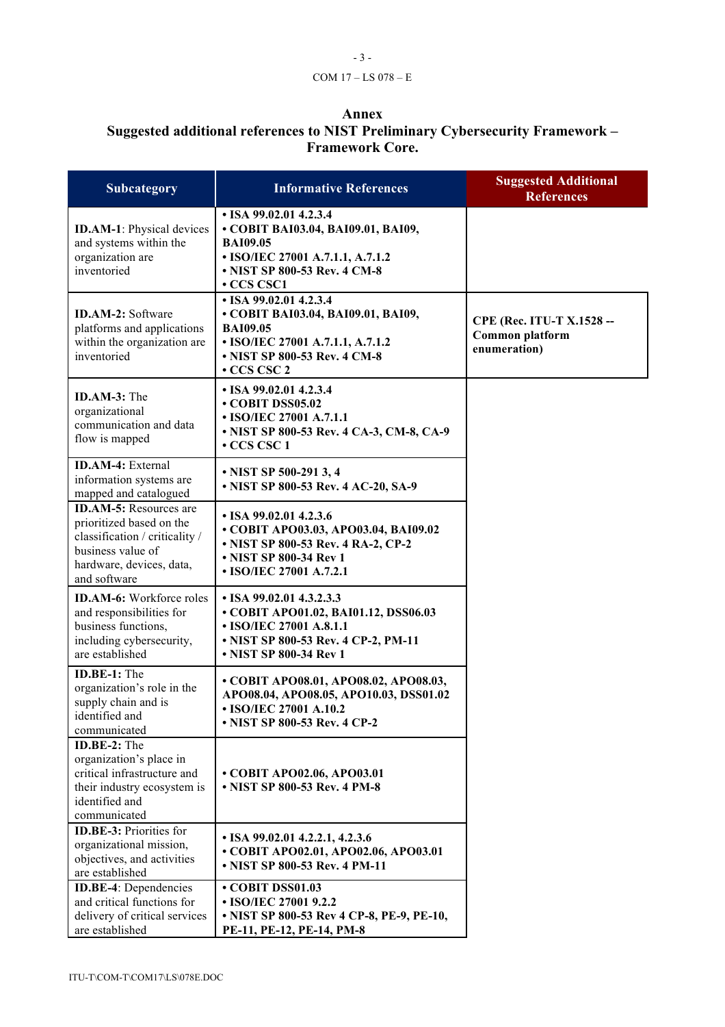## - 3 - COM 17 – LS 078 – E

### **Annex**

#### **Suggested additional references to NIST Preliminary Cybersecurity Framework – Framework Core.**

| <b>Subcategory</b>                                                                                                                                           | <b>Informative References</b>                                                                                                                                                  | <b>Suggested Additional</b><br><b>References</b>             |
|--------------------------------------------------------------------------------------------------------------------------------------------------------------|--------------------------------------------------------------------------------------------------------------------------------------------------------------------------------|--------------------------------------------------------------|
| <b>ID.AM-1:</b> Physical devices<br>and systems within the<br>organization are<br>inventoried                                                                | $\cdot$ ISA 99.02.01 4.2.3.4<br>• COBIT BAI03.04, BAI09.01, BAI09,<br><b>BAI09.05</b><br>• ISO/IEC 27001 A.7.1.1, A.7.1.2<br>• NIST SP 800-53 Rev. 4 CM-8<br><b>• CCS CSC1</b> |                                                              |
| <b>ID.AM-2:</b> Software<br>platforms and applications<br>within the organization are<br>inventoried                                                         | $\cdot$ ISA 99.02.01 4.2.3.4<br>• COBIT BAI03.04, BAI09.01, BAI09,<br><b>BAI09.05</b><br>• ISO/IEC 27001 A.7.1.1, A.7.1.2<br>• NIST SP 800-53 Rev. 4 CM-8<br>• CCS CSC 2       | CPE (Rec. ITU-T X.1528 --<br>Common platform<br>enumeration) |
| <b>ID.AM-3:</b> The<br>organizational<br>communication and data<br>flow is mapped                                                                            | $\cdot$ ISA 99.02.01 4.2.3.4<br>• COBIT DSS05.02<br>• ISO/IEC 27001 A.7.1.1<br>• NIST SP 800-53 Rev. 4 CA-3, CM-8, CA-9<br>$\cdot$ CCS CSC 1                                   |                                                              |
| <b>ID.AM-4:</b> External<br>information systems are<br>mapped and catalogued                                                                                 | • NIST SP 500-291 3, 4<br>• NIST SP 800-53 Rev. 4 AC-20, SA-9                                                                                                                  |                                                              |
| <b>ID.AM-5:</b> Resources are<br>prioritized based on the<br>classification / criticality /<br>business value of<br>hardware, devices, data,<br>and software | $\cdot$ ISA 99.02.01 4.2.3.6<br>• COBIT APO03.03, APO03.04, BAI09.02<br>• NIST SP 800-53 Rev. 4 RA-2, CP-2<br>• NIST SP 800-34 Rev 1<br>• ISO/IEC 27001 A.7.2.1                |                                                              |
| <b>ID.AM-6:</b> Workforce roles<br>and responsibilities for<br>business functions,<br>including cybersecurity,<br>are established                            | $\cdot$ ISA 99.02.01 4.3.2.3.3<br>• COBIT APO01.02, BAI01.12, DSS06.03<br>• ISO/IEC 27001 A.8.1.1<br>• NIST SP 800-53 Rev. 4 CP-2, PM-11<br>• NIST SP 800-34 Rev 1             |                                                              |
| ID.BE-1: The<br>organization's role in the<br>supply chain and is<br>identified and<br>communicated                                                          | • COBIT APO08.01, APO08.02, APO08.03,<br>APO08.04, APO08.05, APO10.03, DSS01.02<br>• ISO/IEC 27001 A.10.2<br>• NIST SP 800-53 Rev. 4 CP-2                                      |                                                              |
| ID.BE-2: The<br>organization's place in<br>critical infrastructure and<br>their industry ecosystem is<br>identified and<br>communicated                      | • COBIT APO02.06, APO03.01<br>• NIST SP 800-53 Rev. 4 PM-8                                                                                                                     |                                                              |
| <b>ID.BE-3:</b> Priorities for<br>organizational mission,<br>objectives, and activities<br>are established                                                   | $\cdot$ ISA 99.02.01 4.2.2.1, 4.2.3.6<br>• COBIT APO02.01, APO02.06, APO03.01<br>• NIST SP 800-53 Rev. 4 PM-11                                                                 |                                                              |
| <b>ID.BE-4:</b> Dependencies<br>and critical functions for<br>delivery of critical services<br>are established                                               | • COBIT DSS01.03<br>• ISO/IEC 27001 9.2.2<br>• NIST SP 800-53 Rev 4 CP-8, PE-9, PE-10,<br>PE-11, PE-12, PE-14, PM-8                                                            |                                                              |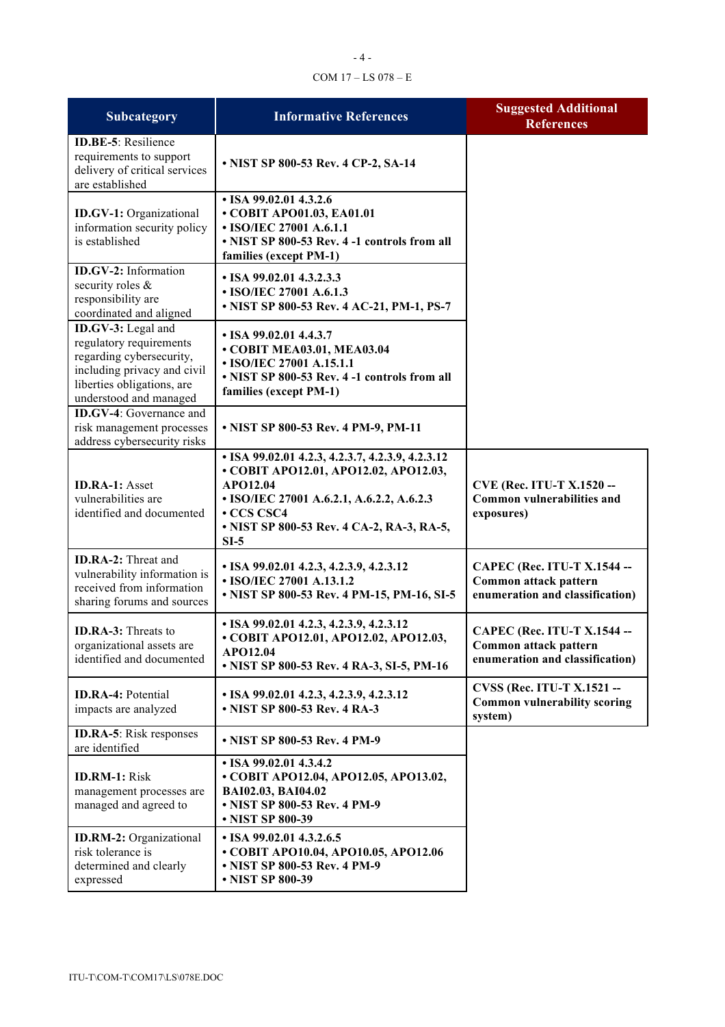## - 4 - COM 17 – LS 078 – E

| Subcategory                                                                                                                                                      | <b>Informative References</b>                                                                                                                                                                                                  | <b>Suggested Additional</b><br><b>References</b>                                               |
|------------------------------------------------------------------------------------------------------------------------------------------------------------------|--------------------------------------------------------------------------------------------------------------------------------------------------------------------------------------------------------------------------------|------------------------------------------------------------------------------------------------|
| <b>ID.BE-5</b> : Resilience<br>requirements to support<br>delivery of critical services<br>are established                                                       | • NIST SP 800-53 Rev. 4 CP-2, SA-14                                                                                                                                                                                            |                                                                                                |
| <b>ID.GV-1:</b> Organizational<br>information security policy<br>is established                                                                                  | $\cdot$ ISA 99.02.01 4.3.2.6<br>• COBIT APO01.03, EA01.01<br>• ISO/IEC 27001 A.6.1.1<br>• NIST SP 800-53 Rev. 4 -1 controls from all<br>families (except PM-1)                                                                 |                                                                                                |
| ID.GV-2: Information<br>security roles &<br>responsibility are<br>coordinated and aligned                                                                        | • ISA 99.02.01 4.3.2.3.3<br>• ISO/IEC 27001 A.6.1.3<br>• NIST SP 800-53 Rev. 4 AC-21, PM-1, PS-7                                                                                                                               |                                                                                                |
| ID.GV-3: Legal and<br>regulatory requirements<br>regarding cybersecurity,<br>including privacy and civil<br>liberties obligations, are<br>understood and managed | • ISA 99.02.01 4.4.3.7<br>• COBIT MEA03.01, MEA03.04<br>• ISO/IEC 27001 A.15.1.1<br>• NIST SP 800-53 Rev. 4 -1 controls from all<br>families (except PM-1)                                                                     |                                                                                                |
| <b>ID.GV-4:</b> Governance and<br>risk management processes<br>address cybersecurity risks                                                                       | • NIST SP 800-53 Rev. 4 PM-9, PM-11                                                                                                                                                                                            |                                                                                                |
| <b>ID.RA-1: Asset</b><br>vulnerabilities are<br>identified and documented                                                                                        | • ISA 99.02.01 4.2.3, 4.2.3.7, 4.2.3.9, 4.2.3.12<br>• COBIT APO12.01, APO12.02, APO12.03,<br>APO12.04<br>• ISO/IEC 27001 A.6.2.1, A.6.2.2, A.6.2.3<br><b>• CCS CSC4</b><br>• NIST SP 800-53 Rev. 4 CA-2, RA-3, RA-5,<br>$SI-5$ | <b>CVE (Rec. ITU-T X.1520 --</b><br>Common vulnerabilities and<br>exposures)                   |
| <b>ID.RA-2:</b> Threat and<br>vulnerability information is<br>received from information<br>sharing forums and sources                                            | $\cdot$ ISA 99.02.01 4.2.3, 4.2.3.9, 4.2.3.12<br>• ISO/IEC 27001 A.13.1.2<br>• NIST SP 800-53 Rev. 4 PM-15, PM-16, SI-5                                                                                                        | CAPEC (Rec. ITU-T X.1544 --<br>Common attack pattern<br>enumeration and classification)        |
| <b>ID.RA-3:</b> Threats to<br>organizational assets are<br>identified and documented                                                                             | • ISA 99.02.01 4.2.3, 4.2.3.9, 4.2.3.12<br>• COBIT APO12.01, APO12.02, APO12.03,<br>APO12.04<br>• NIST SP 800-53 Rev. 4 RA-3, SI-5, PM-16                                                                                      | <b>CAPEC (Rec. ITU-T X.1544 --</b><br>Common attack pattern<br>enumeration and classification) |
| <b>ID.RA-4: Potential</b><br>impacts are analyzed                                                                                                                | $\cdot$ ISA 99.02.01 4.2.3, 4.2.3.9, 4.2.3.12<br>• NIST SP 800-53 Rev. 4 RA-3                                                                                                                                                  | <b>CVSS (Rec. ITU-T X.1521 --</b><br><b>Common vulnerability scoring</b><br>system)            |
| <b>ID.RA-5</b> : Risk responses<br>are identified                                                                                                                | • NIST SP 800-53 Rev. 4 PM-9                                                                                                                                                                                                   |                                                                                                |
| <b>ID.RM-1: Risk</b><br>management processes are<br>managed and agreed to                                                                                        | $\cdot$ ISA 99.02.01 4.3.4.2<br>• COBIT APO12.04, APO12.05, APO13.02,<br>BAI02.03, BAI04.02<br>• NIST SP 800-53 Rev. 4 PM-9<br>• NIST SP 800-39                                                                                |                                                                                                |
| <b>ID.RM-2:</b> Organizational<br>risk tolerance is<br>determined and clearly<br>expressed                                                                       | • ISA 99.02.01 4.3.2.6.5<br>• COBIT APO10.04, APO10.05, APO12.06<br>• NIST SP 800-53 Rev. 4 PM-9<br>• NIST SP 800-39                                                                                                           |                                                                                                |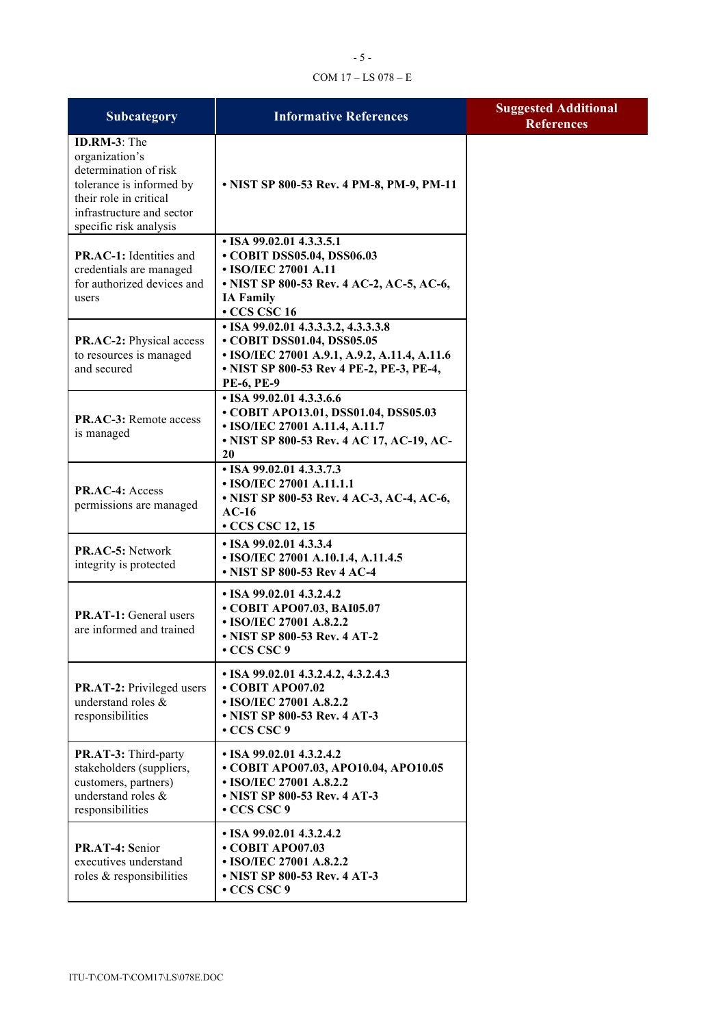#### COM 17 – LS 078 – E

| Subcategory                                                                                                                                                          | <b>Informative References</b>                                                                                                                                                      | <b>Suggested Additional</b><br><b>References</b> |
|----------------------------------------------------------------------------------------------------------------------------------------------------------------------|------------------------------------------------------------------------------------------------------------------------------------------------------------------------------------|--------------------------------------------------|
| ID.RM-3: The<br>organization's<br>determination of risk<br>tolerance is informed by<br>their role in critical<br>infrastructure and sector<br>specific risk analysis | • NIST SP 800-53 Rev. 4 PM-8, PM-9, PM-11                                                                                                                                          |                                                  |
| PR.AC-1: Identities and<br>credentials are managed<br>for authorized devices and<br>users                                                                            | • ISA 99.02.01 4.3.3.5.1<br>• COBIT DSS05.04, DSS06.03<br>• ISO/IEC 27001 A.11<br>• NIST SP 800-53 Rev. 4 AC-2, AC-5, AC-6,<br><b>IA Family</b><br>$\cdot$ CCS CSC 16              |                                                  |
| <b>PR.AC-2:</b> Physical access<br>to resources is managed<br>and secured                                                                                            | • ISA 99.02.01 4.3.3.3.2, 4.3.3.3.8<br>• COBIT DSS01.04, DSS05.05<br>• ISO/IEC 27001 A.9.1, A.9.2, A.11.4, A.11.6<br>• NIST SP 800-53 Rev 4 PE-2, PE-3, PE-4,<br><b>PE-6, PE-9</b> |                                                  |
| <b>PR.AC-3:</b> Remote access<br>is managed                                                                                                                          | • ISA 99.02.01 4.3.3.6.6<br>• COBIT APO13.01, DSS01.04, DSS05.03<br>• ISO/IEC 27001 A.11.4, A.11.7<br>• NIST SP 800-53 Rev. 4 AC 17, AC-19, AC-<br>20                              |                                                  |
| PR.AC-4: Access<br>permissions are managed                                                                                                                           | • ISA 99.02.01 4.3.3.7.3<br>• ISO/IEC 27001 A.11.1.1<br>• NIST SP 800-53 Rev. 4 AC-3, AC-4, AC-6,<br>$AC-16$<br>$\cdot$ CCS CSC 12, 15                                             |                                                  |
| PR.AC-5: Network<br>integrity is protected                                                                                                                           | • ISA 99.02.01 4.3.3.4<br>• ISO/IEC 27001 A.10.1.4, A.11.4.5<br>• NIST SP 800-53 Rev 4 AC-4                                                                                        |                                                  |
| <b>PR.AT-1:</b> General users<br>are informed and trained                                                                                                            | $\cdot$ ISA 99.02.01 4.3.2.4.2<br>• COBIT APO07.03, BAI05.07<br>• ISO/IEC 27001 A.8.2.2<br>• NIST SP 800-53 Rev. 4 AT-2<br>$\cdot$ CCS CSC 9                                       |                                                  |
| <b>PR.AT-2:</b> Privileged users<br>understand roles &<br>responsibilities                                                                                           | $\cdot$ ISA 99.02.01 4.3.2.4.2, 4.3.2.4.3<br>$\cdot$ COBIT APO07.02<br>• ISO/IEC 27001 A.8.2.2<br>• NIST SP 800-53 Rev. 4 AT-3<br>• CCS CSC 9                                      |                                                  |
| PR.AT-3: Third-party<br>stakeholders (suppliers,<br>customers, partners)<br>understand roles &<br>responsibilities                                                   | $\cdot$ ISA 99.02.01 4.3.2.4.2<br>• COBIT APO07.03, APO10.04, APO10.05<br>• ISO/IEC 27001 A.8.2.2<br>• NIST SP 800-53 Rev. 4 AT-3<br>$\cdot$ CCS CSC 9                             |                                                  |
| PR.AT-4: Senior<br>executives understand<br>roles & responsibilities                                                                                                 | $\cdot$ ISA 99.02.01 4.3.2.4.2<br>• COBIT APO07.03<br>• ISO/IEC 27001 A.8.2.2<br>• NIST SP 800-53 Rev. 4 AT-3<br>• CCS CSC 9                                                       |                                                  |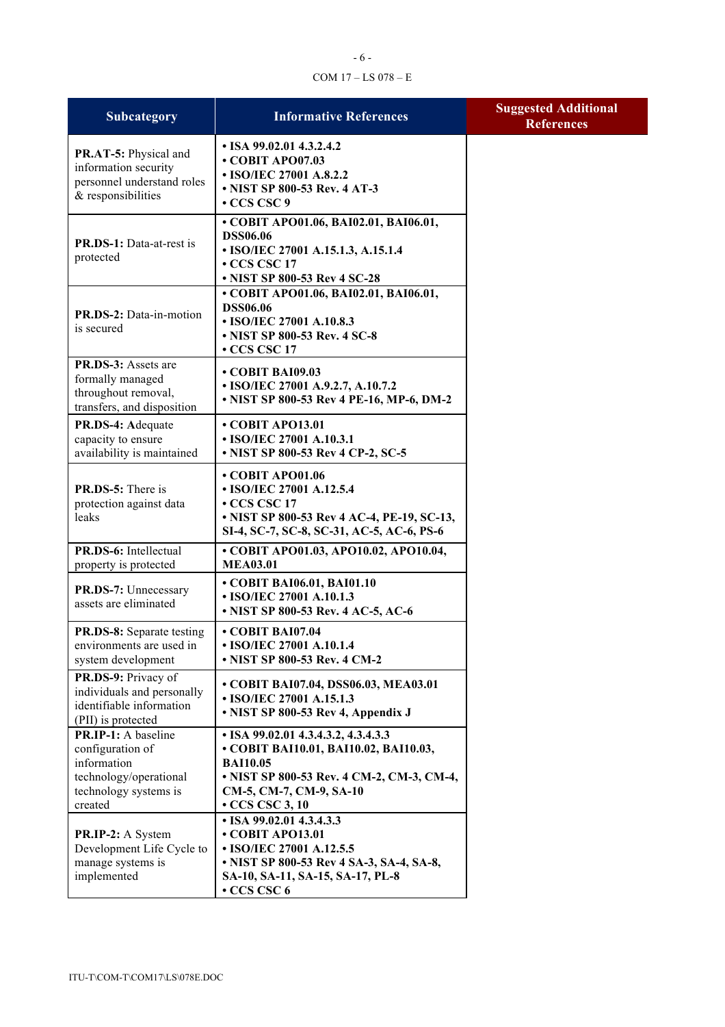# - 6 - COM 17 – LS 078 – E

| <b>Subcategory</b>                                                                                                   | <b>Informative References</b>                                                                                                                                                                          | <b>Suggested Additional</b><br><b>References</b> |
|----------------------------------------------------------------------------------------------------------------------|--------------------------------------------------------------------------------------------------------------------------------------------------------------------------------------------------------|--------------------------------------------------|
| PR.AT-5: Physical and<br>information security<br>personnel understand roles<br>& responsibilities                    | $\cdot$ ISA 99.02.01 4.3.2.4.2<br>• COBIT APO07.03<br>• ISO/IEC 27001 A.8.2.2<br>• NIST SP 800-53 Rev. 4 AT-3<br>$\cdot$ CCS CSC 9                                                                     |                                                  |
| <b>PR.DS-1:</b> Data-at-rest is<br>protected                                                                         | • COBIT APO01.06, BAI02.01, BAI06.01,<br><b>DSS06.06</b><br>• ISO/IEC 27001 A.15.1.3, A.15.1.4<br>• CCS CSC 17<br>• NIST SP 800-53 Rev 4 SC-28                                                         |                                                  |
| PR.DS-2: Data-in-motion<br>is secured                                                                                | • COBIT APO01.06, BAI02.01, BAI06.01,<br><b>DSS06.06</b><br>• ISO/IEC 27001 A.10.8.3<br>• NIST SP 800-53 Rev. 4 SC-8<br>$\cdot$ CCS CSC 17                                                             |                                                  |
| PR.DS-3: Assets are<br>formally managed<br>throughout removal,<br>transfers, and disposition                         | $\cdot$ COBIT BAI09.03<br>• ISO/IEC 27001 A.9.2.7, A.10.7.2<br>• NIST SP 800-53 Rev 4 PE-16, MP-6, DM-2                                                                                                |                                                  |
| PR.DS-4: Adequate<br>capacity to ensure<br>availability is maintained                                                | $\cdot$ COBIT APO13.01<br>• ISO/IEC 27001 A.10.3.1<br>• NIST SP 800-53 Rev 4 CP-2, SC-5                                                                                                                |                                                  |
| <b>PR.DS-5:</b> There is<br>protection against data<br>leaks                                                         | • COBIT APO01.06<br>• ISO/IEC 27001 A.12.5.4<br>$\cdot$ CCS CSC 17<br>• NIST SP 800-53 Rev 4 AC-4, PE-19, SC-13,<br>SI-4, SC-7, SC-8, SC-31, AC-5, AC-6, PS-6                                          |                                                  |
| PR.DS-6: Intellectual<br>property is protected                                                                       | • COBIT APO01.03, APO10.02, APO10.04,<br><b>MEA03.01</b>                                                                                                                                               |                                                  |
| PR.DS-7: Unnecessary<br>assets are eliminated                                                                        | • COBIT BAI06.01, BAI01.10<br>• ISO/IEC 27001 A.10.1.3<br>• NIST SP 800-53 Rev. 4 AC-5, AC-6                                                                                                           |                                                  |
| <b>PR.DS-8:</b> Separate testing<br>environments are used in<br>system development                                   | • COBIT BAI07.04<br>• ISO/IEC 27001 A.10.1.4<br>• NIST SP 800-53 Rev. 4 CM-2                                                                                                                           |                                                  |
| PR.DS-9: Privacy of<br>individuals and personally<br>identifiable information<br>(PII) is protected                  | • COBIT BAI07.04, DSS06.03, MEA03.01<br>• ISO/IEC 27001 A.15.1.3<br>• NIST SP 800-53 Rev 4, Appendix J                                                                                                 |                                                  |
| PR.IP-1: A baseline<br>configuration of<br>information<br>technology/operational<br>technology systems is<br>created | $\cdot$ ISA 99.02.01 4.3.4.3.2, 4.3.4.3.3<br>• COBIT BAI10.01, BAI10.02, BAI10.03,<br><b>BAI10.05</b><br>• NIST SP 800-53 Rev. 4 CM-2, CM-3, CM-4,<br>CM-5, CM-7, CM-9, SA-10<br>$\cdot$ CCS CSC 3, 10 |                                                  |
| PR.IP-2: A System<br>Development Life Cycle to<br>manage systems is<br>implemented                                   | • ISA 99.02.01 4.3.4.3.3<br>• COBIT APO13.01<br>• ISO/IEC 27001 A.12.5.5<br>• NIST SP 800-53 Rev 4 SA-3, SA-4, SA-8,<br>SA-10, SA-11, SA-15, SA-17, PL-8<br>• CCS CSC 6                                |                                                  |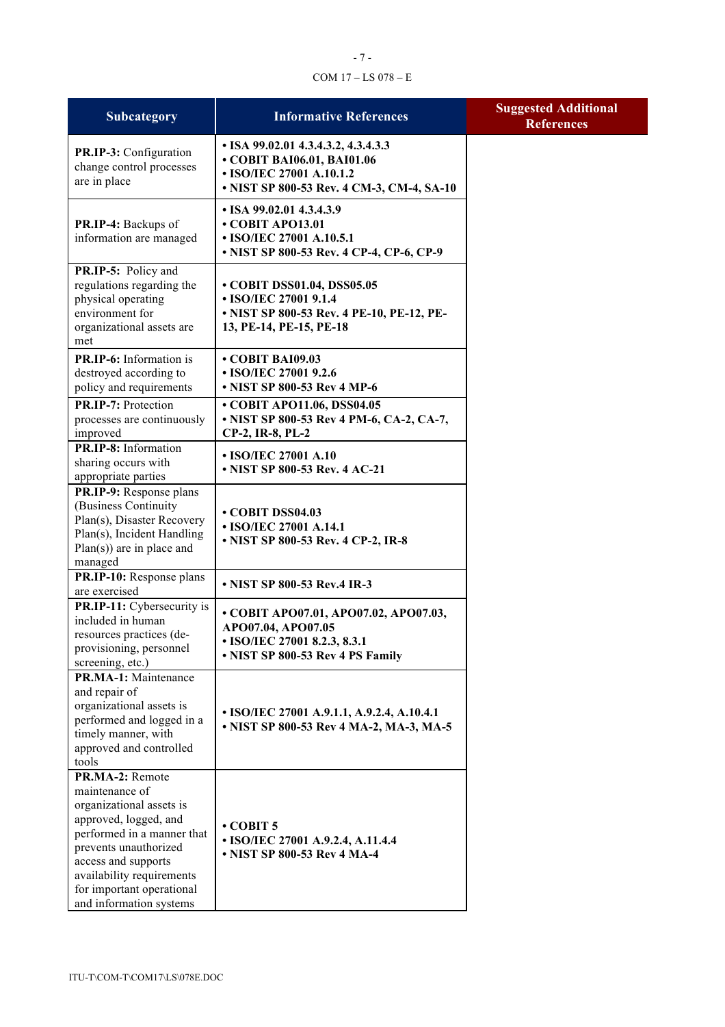# - 7 - COM 17 – LS 078 – E

| Subcategory                                                                                                                                                                                                                                               | <b>Informative References</b>                                                                                                                      | <b>Suggested Additional</b><br><b>References</b> |
|-----------------------------------------------------------------------------------------------------------------------------------------------------------------------------------------------------------------------------------------------------------|----------------------------------------------------------------------------------------------------------------------------------------------------|--------------------------------------------------|
| PR.IP-3: Configuration<br>change control processes<br>are in place                                                                                                                                                                                        | • ISA 99.02.01 4.3.4.3.2, 4.3.4.3.3<br>• COBIT BAI06.01, BAI01.06<br>• ISO/IEC 27001 A.10.1.2<br>• NIST SP 800-53 Rev. 4 CM-3, CM-4, SA-10         |                                                  |
| PR.IP-4: Backups of<br>information are managed                                                                                                                                                                                                            | $\cdot$ ISA 99.02.01 4.3.4.3.9<br>• COBIT APO13.01<br>• ISO/IEC 27001 A.10.5.1<br>• NIST SP 800-53 Rev. 4 CP-4, CP-6, CP-9                         |                                                  |
| PR.IP-5: Policy and<br>regulations regarding the<br>physical operating<br>environment for<br>organizational assets are<br>met                                                                                                                             | • COBIT DSS01.04, DSS05.05<br>• ISO/IEC 27001 9.1.4<br>• NIST SP 800-53 Rev. 4 PE-10, PE-12, PE-<br>13, PE-14, PE-15, PE-18                        |                                                  |
| PR.IP-6: Information is<br>destroyed according to<br>policy and requirements<br>PR.IP-7: Protection<br>processes are continuously                                                                                                                         | • COBIT BAI09.03<br>• ISO/IEC 27001 9.2.6<br>• NIST SP 800-53 Rev 4 MP-6<br>• COBIT APO11.06, DSS04.05<br>• NIST SP 800-53 Rev 4 PM-6, CA-2, CA-7, |                                                  |
| improved<br>PR.IP-8: Information<br>sharing occurs with<br>appropriate parties                                                                                                                                                                            | CP-2, IR-8, PL-2<br>• ISO/IEC 27001 A.10<br>• NIST SP 800-53 Rev. 4 AC-21                                                                          |                                                  |
| PR.IP-9: Response plans<br>(Business Continuity<br>Plan(s), Disaster Recovery<br>Plan(s), Incident Handling<br>$Plan(s)$ are in place and<br>managed                                                                                                      | • COBIT DSS04.03<br>• ISO/IEC 27001 A.14.1<br>• NIST SP 800-53 Rev. 4 CP-2, IR-8                                                                   |                                                  |
| PR.IP-10: Response plans<br>are exercised                                                                                                                                                                                                                 | • NIST SP 800-53 Rev.4 IR-3                                                                                                                        |                                                  |
| PR.IP-11: Cybersecurity is<br>included in human<br>resources practices (de-<br>provisioning, personnel<br>screening, etc.)                                                                                                                                | • COBIT APO07.01, APO07.02, APO07.03,<br>APO07.04, APO07.05<br>• ISO/IEC 27001 8.2.3, 8.3.1<br>• NIST SP 800-53 Rev 4 PS Family                    |                                                  |
| PR.MA-1: Maintenance<br>and repair of<br>organizational assets is<br>performed and logged in a<br>timely manner, with<br>approved and controlled<br>tools                                                                                                 | • ISO/IEC 27001 A.9.1.1, A.9.2.4, A.10.4.1<br>• NIST SP 800-53 Rev 4 MA-2, MA-3, MA-5                                                              |                                                  |
| PR.MA-2: Remote<br>maintenance of<br>organizational assets is<br>approved, logged, and<br>performed in a manner that<br>prevents unauthorized<br>access and supports<br>availability requirements<br>for important operational<br>and information systems | $\cdot$ COBIT 5<br>• ISO/IEC 27001 A.9.2.4, A.11.4.4<br>• NIST SP 800-53 Rev 4 MA-4                                                                |                                                  |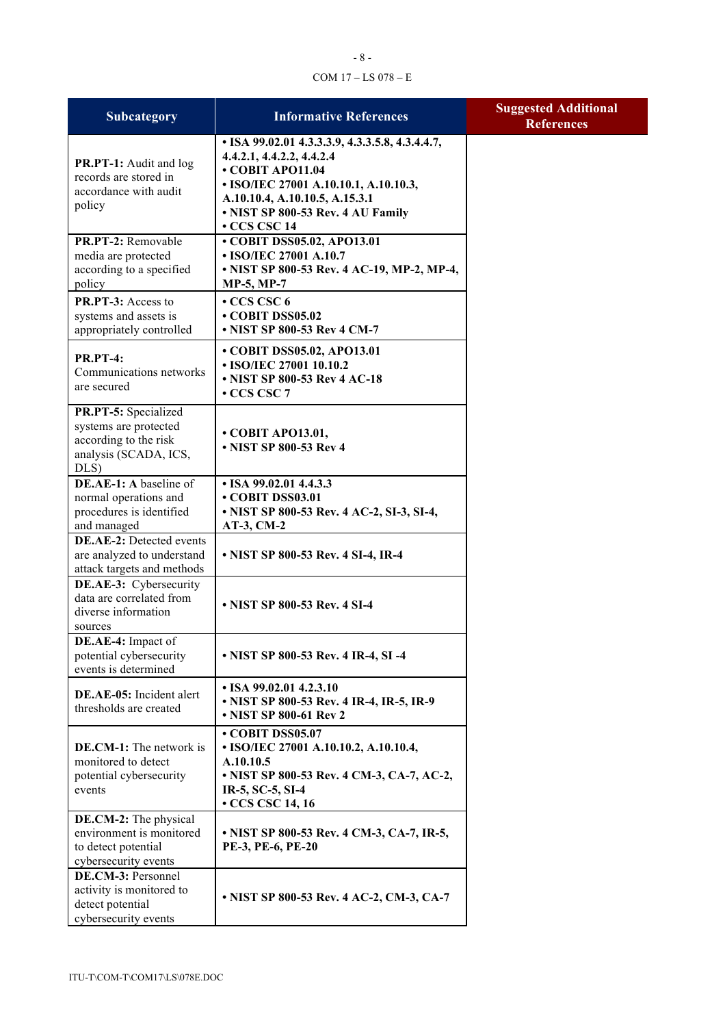## - 8 - COM 17 – LS 078 – E

| Subcategory                                                                                                | <b>Informative References</b>                                                                                                                                                                                                  | <b>Suggested Additional</b><br><b>References</b> |
|------------------------------------------------------------------------------------------------------------|--------------------------------------------------------------------------------------------------------------------------------------------------------------------------------------------------------------------------------|--------------------------------------------------|
| PR.PT-1: Audit and log<br>records are stored in<br>accordance with audit<br>policy                         | • ISA 99.02.01 4.3.3.3.9, 4.3.3.5.8, 4.3.4.4.7,<br>4.4.2.1, 4.4.2.2, 4.4.2.4<br>• COBIT APO11.04<br>• ISO/IEC 27001 A.10.10.1, A.10.10.3,<br>A.10.10.4, A.10.10.5, A.15.3.1<br>• NIST SP 800-53 Rev. 4 AU Family<br>CCS CSC 14 |                                                  |
| PR.PT-2: Removable<br>media are protected<br>according to a specified<br>policy                            | • COBIT DSS05.02, APO13.01<br>• ISO/IEC 27001 A.10.7<br>• NIST SP 800-53 Rev. 4 AC-19, MP-2, MP-4,<br><b>MP-5, MP-7</b>                                                                                                        |                                                  |
| PR.PT-3: Access to<br>systems and assets is<br>appropriately controlled                                    | $\cdot$ CCS CSC 6<br>• COBIT DSS05.02<br>• NIST SP 800-53 Rev 4 CM-7                                                                                                                                                           |                                                  |
| <b>PR.PT-4:</b><br>Communications networks<br>are secured                                                  | • COBIT DSS05.02, APO13.01<br>• ISO/IEC 27001 10.10.2<br>• NIST SP 800-53 Rev 4 AC-18<br>$\cdot$ CCS CSC 7                                                                                                                     |                                                  |
| PR.PT-5: Specialized<br>systems are protected<br>according to the risk<br>analysis (SCADA, ICS,<br>DLS)    | • COBIT APO13.01,<br>• NIST SP 800-53 Rev 4                                                                                                                                                                                    |                                                  |
| DE.AE-1: A baseline of<br>normal operations and<br>procedures is identified                                | • ISA 99.02.01 4.4.3.3<br>COBIT DSS03.01<br>• NIST SP 800-53 Rev. 4 AC-2, SI-3, SI-4,                                                                                                                                          |                                                  |
| and managed<br><b>DE.AE-2:</b> Detected events<br>are analyzed to understand<br>attack targets and methods | AT-3, CM-2<br>• NIST SP 800-53 Rev. 4 SI-4, IR-4                                                                                                                                                                               |                                                  |
| <b>DE.AE-3:</b> Cybersecurity<br>data are correlated from<br>diverse information<br>sources                | • NIST SP 800-53 Rev. 4 SI-4                                                                                                                                                                                                   |                                                  |
| DE.AE-4: Impact of<br>potential cybersecurity<br>events is determined                                      | • NIST SP 800-53 Rev. 4 IR-4, SI-4                                                                                                                                                                                             |                                                  |
| DE.AE-05: Incident alert<br>thresholds are created                                                         | • ISA 99.02.01 4.2.3.10<br>• NIST SP 800-53 Rev. 4 IR-4, IR-5, IR-9<br>• NIST SP 800-61 Rev 2                                                                                                                                  |                                                  |
| <b>DE.CM-1:</b> The network is<br>monitored to detect<br>potential cybersecurity<br>events                 | • COBIT DSS05.07<br>• ISO/IEC 27001 A.10.10.2, A.10.10.4,<br>A.10.10.5<br>• NIST SP 800-53 Rev. 4 CM-3, CA-7, AC-2,<br>IR-5, SC-5, SI-4<br>$\cdot$ CCS CSC 14, 16                                                              |                                                  |
| DE.CM-2: The physical<br>environment is monitored<br>to detect potential<br>cybersecurity events           | • NIST SP 800-53 Rev. 4 CM-3, CA-7, IR-5,<br>PE-3, PE-6, PE-20                                                                                                                                                                 |                                                  |
| DE.CM-3: Personnel<br>activity is monitored to<br>detect potential<br>cybersecurity events                 | • NIST SP 800-53 Rev. 4 AC-2, CM-3, CA-7                                                                                                                                                                                       |                                                  |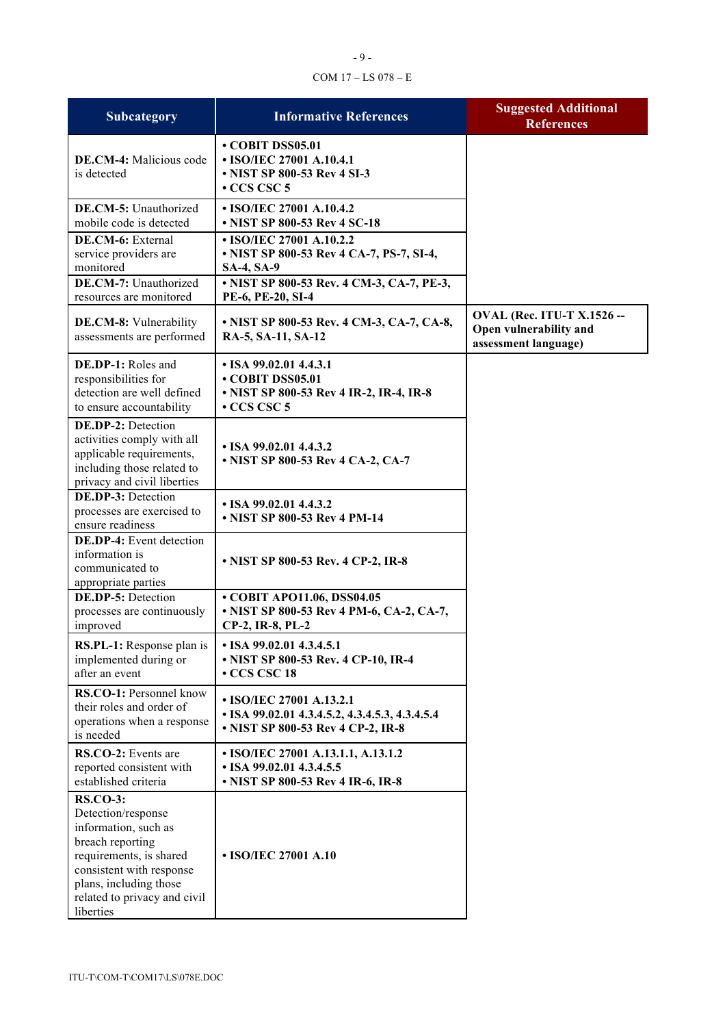# COM 17 – LS 078 – E

| <b>Subcategory</b>                                                                                                                                                                                              | <b>Informative References</b>                                                                                                          | <b>Suggested Additional</b><br><b>References</b>                                    |
|-----------------------------------------------------------------------------------------------------------------------------------------------------------------------------------------------------------------|----------------------------------------------------------------------------------------------------------------------------------------|-------------------------------------------------------------------------------------|
| <b>DE.CM-4:</b> Malicious code<br>is detected                                                                                                                                                                   | • COBIT DSS05.01<br>• ISO/IEC 27001 A.10.4.1<br>• NIST SP 800-53 Rev 4 SI-3<br>$\cdot$ CCS CSC 5                                       |                                                                                     |
| DE.CM-5: Unauthorized<br>mobile code is detected                                                                                                                                                                | • ISO/IEC 27001 A.10.4.2<br>• NIST SP 800-53 Rev 4 SC-18                                                                               |                                                                                     |
| DE.CM-6: External<br>service providers are<br>monitored<br>DE.CM-7: Unauthorized                                                                                                                                | • ISO/IEC 27001 A.10.2.2<br>• NIST SP 800-53 Rev 4 CA-7, PS-7, SI-4,<br><b>SA-4, SA-9</b><br>• NIST SP 800-53 Rev. 4 CM-3, CA-7, PE-3, |                                                                                     |
| resources are monitored<br>DE.CM-8: Vulnerability<br>assessments are performed                                                                                                                                  | PE-6, PE-20, SI-4<br>• NIST SP 800-53 Rev. 4 CM-3, CA-7, CA-8,<br>RA-5, SA-11, SA-12                                                   | <b>OVAL (Rec. ITU-T X.1526 --</b><br>Open vulnerability and<br>assessment language) |
| <b>DE.DP-1:</b> Roles and<br>responsibilities for<br>detection are well defined<br>to ensure accountability                                                                                                     | $\cdot$ ISA 99.02.01 4.4.3.1<br>COBIT DSS05.01<br>• NIST SP 800-53 Rev 4 IR-2, IR-4, IR-8<br>$\cdot$ CCS CSC 5                         |                                                                                     |
| <b>DE.DP-2:</b> Detection<br>activities comply with all<br>applicable requirements,<br>including those related to<br>privacy and civil liberties                                                                | $\cdot$ ISA 99.02.01 4.4.3.2<br>• NIST SP 800-53 Rev 4 CA-2, CA-7                                                                      |                                                                                     |
| DE.DP-3: Detection<br>processes are exercised to<br>ensure readiness                                                                                                                                            | $\cdot$ ISA 99.02.01 4.4.3.2<br>• NIST SP 800-53 Rev 4 PM-14                                                                           |                                                                                     |
| <b>DE.DP-4:</b> Event detection<br>information is<br>communicated to<br>appropriate parties                                                                                                                     | • NIST SP 800-53 Rev. 4 CP-2, IR-8                                                                                                     |                                                                                     |
| <b>DE.DP-5: Detection</b><br>processes are continuously<br>improved                                                                                                                                             | • COBIT APO11.06, DSS04.05<br>• NIST SP 800-53 Rev 4 PM-6, CA-2, CA-7,<br>CP-2, IR-8, PL-2                                             |                                                                                     |
| <b>RS.PL-1:</b> Response plan is<br>implemented during or<br>after an event                                                                                                                                     | $\cdot$ ISA 99.02.01 4.3.4.5.1<br>• NIST SP 800-53 Rev. 4 CP-10, IR-4<br>$\cdot$ CCS CSC 18                                            |                                                                                     |
| RS.CO-1: Personnel know<br>their roles and order of<br>operations when a response<br>is needed                                                                                                                  | • ISO/IEC 27001 A.13.2.1<br>• ISA 99.02.01 4.3.4.5.2, 4.3.4.5.3, 4.3.4.5.4<br>• NIST SP 800-53 Rev 4 CP-2, IR-8                        |                                                                                     |
| RS.CO-2: Events are<br>reported consistent with<br>established criteria                                                                                                                                         | • ISO/IEC 27001 A.13.1.1, A.13.1.2<br>• ISA 99.02.01 4.3.4.5.5<br>• NIST SP 800-53 Rev 4 IR-6, IR-8                                    |                                                                                     |
| <b>RS.CO-3:</b><br>Detection/response<br>information, such as<br>breach reporting<br>requirements, is shared<br>consistent with response<br>plans, including those<br>related to privacy and civil<br>liberties | • ISO/IEC 27001 A.10                                                                                                                   |                                                                                     |